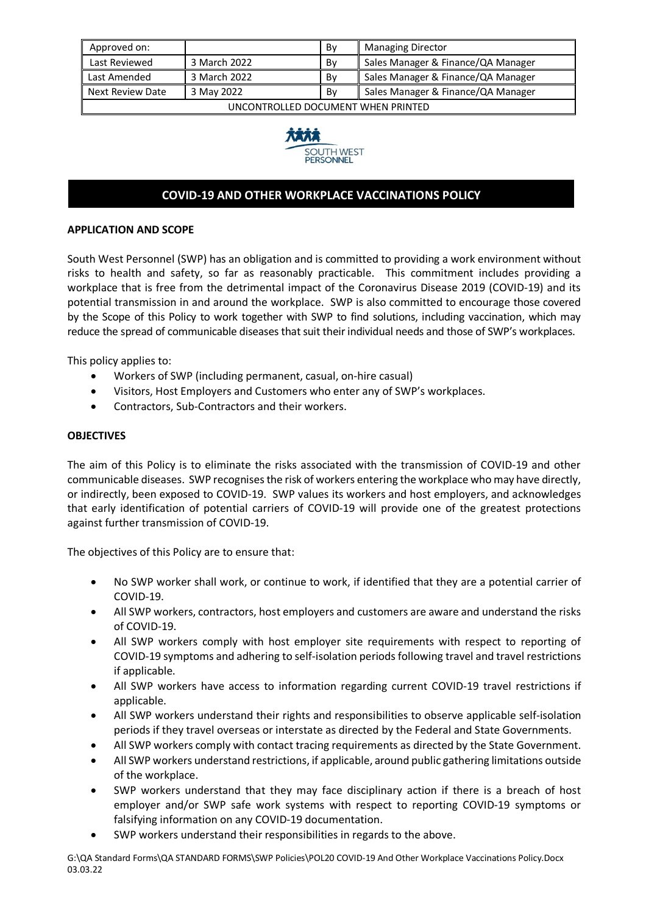| Approved on:                                                               |              | Bv | <b>Managing Director</b>           |  |
|----------------------------------------------------------------------------|--------------|----|------------------------------------|--|
| Last Reviewed                                                              | 3 March 2022 | Bv | Sales Manager & Finance/QA Manager |  |
| Last Amended                                                               | 3 March 2022 | Bv | Sales Manager & Finance/QA Manager |  |
| Sales Manager & Finance/QA Manager<br>Next Review Date<br>3 May 2022<br>Bv |              |    |                                    |  |
| UNCONTROLLED DOCUMENT WHEN PRINTED                                         |              |    |                                    |  |



# **COVID-19 AND OTHER WORKPLACE VACCINATIONS POLICY**

## **APPLICATION AND SCOPE**

South West Personnel (SWP) has an obligation and is committed to providing a work environment without risks to health and safety, so far as reasonably practicable. This commitment includes providing a workplace that is free from the detrimental impact of the Coronavirus Disease 2019 (COVID-19) and its potential transmission in and around the workplace. SWP is also committed to encourage those covered by the Scope of this Policy to work together with SWP to find solutions, including vaccination, which may reduce the spread of communicable diseases that suit their individual needs and those of SWP's workplaces.

This policy applies to:

- Workers of SWP (including permanent, casual, on-hire casual)
- Visitors, Host Employers and Customers who enter any of SWP's workplaces.
- Contractors, Sub-Contractors and their workers.

## **OBJECTIVES**

The aim of this Policy is to eliminate the risks associated with the transmission of COVID-19 and other communicable diseases. SWP recognises the risk of workers entering the workplace who may have directly, or indirectly, been exposed to COVID-19. SWP values its workers and host employers, and acknowledges that early identification of potential carriers of COVID-19 will provide one of the greatest protections against further transmission of COVID-19.

The objectives of this Policy are to ensure that:

- No SWP worker shall work, or continue to work, if identified that they are a potential carrier of COVID-19.
- All SWP workers, contractors, host employers and customers are aware and understand the risks of COVID-19.
- All SWP workers comply with host employer site requirements with respect to reporting of COVID-19 symptoms and adhering to self-isolation periods following travel and travel restrictions if applicable.
- All SWP workers have access to information regarding current COVID-19 travel restrictions if applicable.
- All SWP workers understand their rights and responsibilities to observe applicable self-isolation periods if they travel overseas or interstate as directed by the Federal and State Governments.
- All SWP workers comply with contact tracing requirements as directed by the State Government.
- All SWP workers understand restrictions, if applicable, around public gathering limitations outside of the workplace.
- SWP workers understand that they may face disciplinary action if there is a breach of host employer and/or SWP safe work systems with respect to reporting COVID-19 symptoms or falsifying information on any COVID-19 documentation.
- SWP workers understand their responsibilities in regards to the above.

G:\QA Standard Forms\QA STANDARD FORMS\SWP Policies\POL20 COVID-19 And Other Workplace Vaccinations Policy.Docx 03.03.22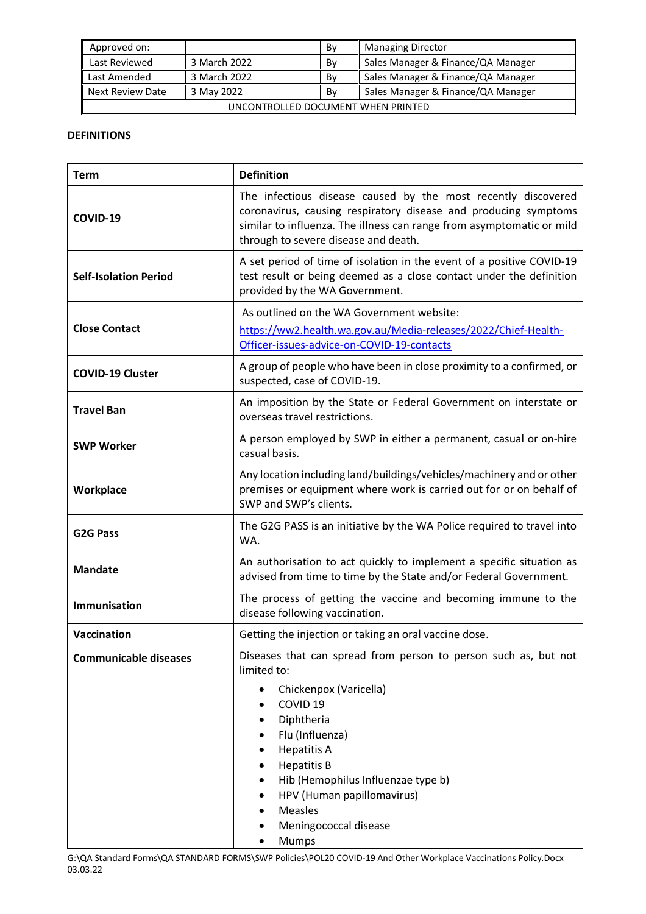| Approved on:                                                                      |              | Bv | Managing Director                  |  |
|-----------------------------------------------------------------------------------|--------------|----|------------------------------------|--|
| Last Reviewed                                                                     | 3 March 2022 | Bv | Sales Manager & Finance/QA Manager |  |
| Last Amended                                                                      | 3 March 2022 | Bv | Sales Manager & Finance/QA Manager |  |
| Sales Manager & Finance/QA Manager<br><b>Next Review Date</b><br>3 May 2022<br>Bv |              |    |                                    |  |
| UNCONTROLLED DOCUMENT WHEN PRINTED                                                |              |    |                                    |  |

## **DEFINITIONS**

| <b>Term</b>                  | <b>Definition</b>                                                                                                                                                                                                                                                                                                                                                                                                |  |  |
|------------------------------|------------------------------------------------------------------------------------------------------------------------------------------------------------------------------------------------------------------------------------------------------------------------------------------------------------------------------------------------------------------------------------------------------------------|--|--|
| COVID-19                     | The infectious disease caused by the most recently discovered<br>coronavirus, causing respiratory disease and producing symptoms<br>similar to influenza. The illness can range from asymptomatic or mild<br>through to severe disease and death.                                                                                                                                                                |  |  |
| <b>Self-Isolation Period</b> | A set period of time of isolation in the event of a positive COVID-19<br>test result or being deemed as a close contact under the definition<br>provided by the WA Government.                                                                                                                                                                                                                                   |  |  |
| <b>Close Contact</b>         | As outlined on the WA Government website:<br>https://ww2.health.wa.gov.au/Media-releases/2022/Chief-Health-<br>Officer-issues-advice-on-COVID-19-contacts                                                                                                                                                                                                                                                        |  |  |
| <b>COVID-19 Cluster</b>      | A group of people who have been in close proximity to a confirmed, or<br>suspected, case of COVID-19.                                                                                                                                                                                                                                                                                                            |  |  |
| <b>Travel Ban</b>            | An imposition by the State or Federal Government on interstate or<br>overseas travel restrictions.                                                                                                                                                                                                                                                                                                               |  |  |
| <b>SWP Worker</b>            | A person employed by SWP in either a permanent, casual or on-hire<br>casual basis.                                                                                                                                                                                                                                                                                                                               |  |  |
| Workplace                    | Any location including land/buildings/vehicles/machinery and or other<br>premises or equipment where work is carried out for or on behalf of<br>SWP and SWP's clients.                                                                                                                                                                                                                                           |  |  |
| <b>G2G Pass</b>              | The G2G PASS is an initiative by the WA Police required to travel into<br>WA.                                                                                                                                                                                                                                                                                                                                    |  |  |
| <b>Mandate</b>               | An authorisation to act quickly to implement a specific situation as<br>advised from time to time by the State and/or Federal Government.                                                                                                                                                                                                                                                                        |  |  |
| <b>Immunisation</b>          | The process of getting the vaccine and becoming immune to the<br>disease following vaccination.                                                                                                                                                                                                                                                                                                                  |  |  |
| Vaccination                  | Getting the injection or taking an oral vaccine dose.                                                                                                                                                                                                                                                                                                                                                            |  |  |
| <b>Communicable diseases</b> | Diseases that can spread from person to person such as, but not<br>limited to:<br>Chickenpox (Varicella)<br>$\bullet$<br>COVID <sub>19</sub><br>٠<br>Diphtheria<br>$\bullet$<br>Flu (Influenza)<br><b>Hepatitis A</b><br>$\bullet$<br><b>Hepatitis B</b><br>$\bullet$<br>Hib (Hemophilus Influenzae type b)<br>$\bullet$<br>HPV (Human papillomavirus)<br>$\bullet$<br>Measles<br>Meningococcal disease<br>Mumps |  |  |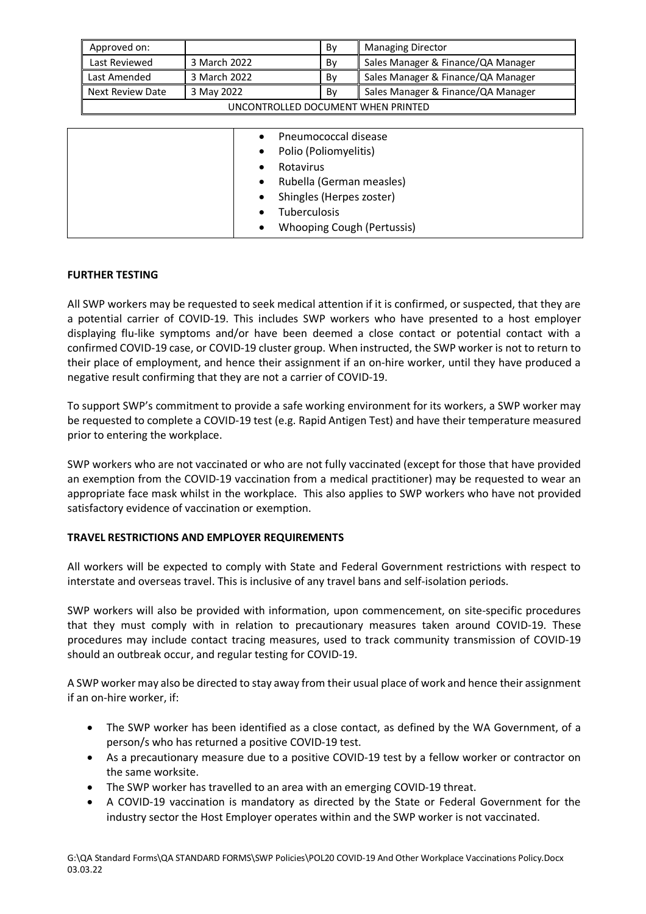| Approved on:                       |              | Bv | <b>Managing Director</b>           |
|------------------------------------|--------------|----|------------------------------------|
| Last Reviewed                      | 3 March 2022 | Bv | Sales Manager & Finance/QA Manager |
| Last Amended                       | 3 March 2022 | Bv | Sales Manager & Finance/QA Manager |
| Next Review Date                   | 3 May 2022   | Bv | Sales Manager & Finance/QA Manager |
| UNCONTROLLED DOCUMENT WHEN PRINTED |              |    |                                    |

| Pneumococcal disease                    |
|-----------------------------------------|
| Polio (Poliomyelitis)<br>$\bullet$      |
| Rotavirus                               |
| Rubella (German measles)<br>$\bullet$   |
| Shingles (Herpes zoster)<br>$\bullet$   |
| Tuberculosis                            |
| Whooping Cough (Pertussis)<br>$\bullet$ |

## **FURTHER TESTING**

All SWP workers may be requested to seek medical attention if it is confirmed, or suspected, that they are a potential carrier of COVID-19. This includes SWP workers who have presented to a host employer displaying flu-like symptoms and/or have been deemed a close contact or potential contact with a confirmed COVID-19 case, or COVID-19 cluster group. When instructed, the SWP worker is not to return to their place of employment, and hence their assignment if an on-hire worker, until they have produced a negative result confirming that they are not a carrier of COVID-19.

To support SWP's commitment to provide a safe working environment for its workers, a SWP worker may be requested to complete a COVID-19 test (e.g. Rapid Antigen Test) and have their temperature measured prior to entering the workplace.

SWP workers who are not vaccinated or who are not fully vaccinated (except for those that have provided an exemption from the COVID-19 vaccination from a medical practitioner) may be requested to wear an appropriate face mask whilst in the workplace. This also applies to SWP workers who have not provided satisfactory evidence of vaccination or exemption.

# **TRAVEL RESTRICTIONS AND EMPLOYER REQUIREMENTS**

All workers will be expected to comply with State and Federal Government restrictions with respect to interstate and overseas travel. This is inclusive of any travel bans and self-isolation periods.

SWP workers will also be provided with information, upon commencement, on site-specific procedures that they must comply with in relation to precautionary measures taken around COVID-19. These procedures may include contact tracing measures, used to track community transmission of COVID-19 should an outbreak occur, and regular testing for COVID-19.

A SWP worker may also be directed to stay away from their usual place of work and hence their assignment if an on-hire worker, if:

- The SWP worker has been identified as a close contact, as defined by the WA Government, of a person/s who has returned a positive COVID-19 test.
- As a precautionary measure due to a positive COVID-19 test by a fellow worker or contractor on the same worksite.
- The SWP worker has travelled to an area with an emerging COVID-19 threat.
- A COVID-19 vaccination is mandatory as directed by the State or Federal Government for the industry sector the Host Employer operates within and the SWP worker is not vaccinated.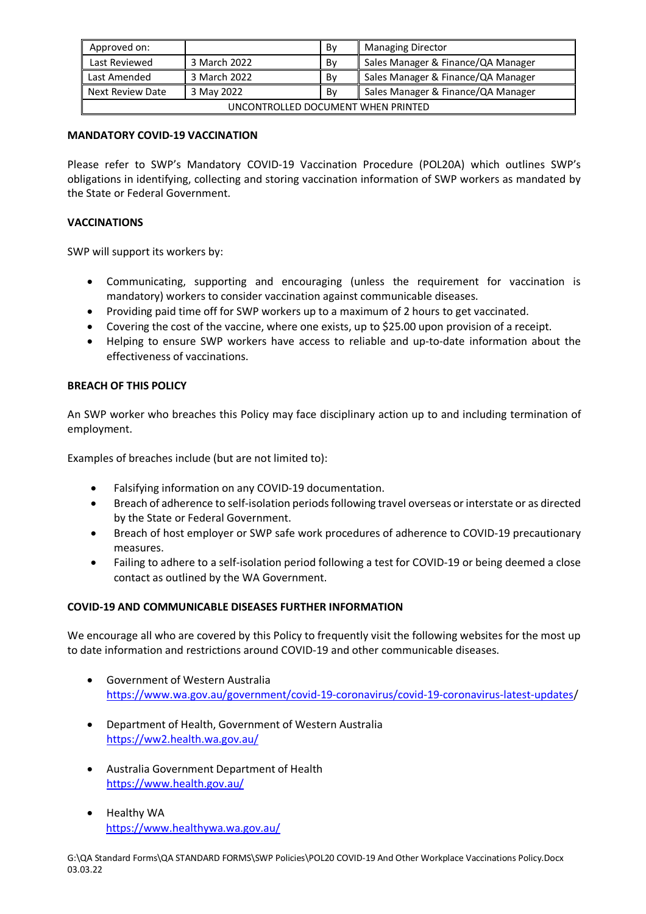| Approved on:                                                               |              | Bv | <b>Managing Director</b>           |  |
|----------------------------------------------------------------------------|--------------|----|------------------------------------|--|
| Last Reviewed                                                              | 3 March 2022 | Bv | Sales Manager & Finance/QA Manager |  |
| Last Amended                                                               | 3 March 2022 | Bv | Sales Manager & Finance/QA Manager |  |
| Sales Manager & Finance/QA Manager<br>Next Review Date<br>3 May 2022<br>Bv |              |    |                                    |  |
| UNCONTROLLED DOCUMENT WHEN PRINTED                                         |              |    |                                    |  |

## **MANDATORY COVID-19 VACCINATION**

Please refer to SWP's Mandatory COVID-19 Vaccination Procedure (POL20A) which outlines SWP's obligations in identifying, collecting and storing vaccination information of SWP workers as mandated by the State or Federal Government.

## **VACCINATIONS**

SWP will support its workers by:

- Communicating, supporting and encouraging (unless the requirement for vaccination is mandatory) workers to consider vaccination against communicable diseases.
- Providing paid time off for SWP workers up to a maximum of 2 hours to get vaccinated.
- Covering the cost of the vaccine, where one exists, up to \$25.00 upon provision of a receipt.
- Helping to ensure SWP workers have access to reliable and up-to-date information about the effectiveness of vaccinations.

#### **BREACH OF THIS POLICY**

An SWP worker who breaches this Policy may face disciplinary action up to and including termination of employment.

Examples of breaches include (but are not limited to):

- Falsifying information on any COVID-19 documentation.
- Breach of adherence to self-isolation periods following travel overseas or interstate or as directed by the State or Federal Government.
- Breach of host employer or SWP safe work procedures of adherence to COVID-19 precautionary measures.
- Failing to adhere to a self-isolation period following a test for COVID-19 or being deemed a close contact as outlined by the WA Government.

#### **COVID-19 AND COMMUNICABLE DISEASES FURTHER INFORMATION**

We encourage all who are covered by this Policy to frequently visit the following websites for the most up to date information and restrictions around COVID-19 and other communicable diseases.

- Government of Western Australia https://www.wa.gov.au/government/covid-19-coronavirus/covid-19-coronavirus-latest-updates/
- Department of Health, Government of Western Australia https://ww2.health.wa.gov.au/
- Australia Government Department of Health https://www.health.gov.au/
- Healthy WA https://www.healthywa.wa.gov.au/